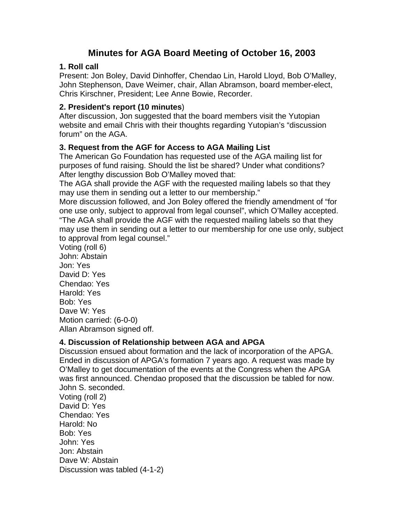# **Minutes for AGA Board Meeting of October 16, 2003**

## **1. Roll call**

Present: Jon Boley, David Dinhoffer, Chendao Lin, Harold Lloyd, Bob O'Malley, John Stephenson, Dave Weimer, chair, Allan Abramson, board member-elect, Chris Kirschner, President; Lee Anne Bowie, Recorder.

### **2. President's report (10 minutes**)

After discussion, Jon suggested that the board members visit the Yutopian website and email Chris with their thoughts regarding Yutopian's "discussion forum" on the AGA.

## **3. Request from the AGF for Access to AGA Mailing List**

The American Go Foundation has requested use of the AGA mailing list for purposes of fund raising. Should the list be shared? Under what conditions? After lengthy discussion Bob O'Malley moved that:

The AGA shall provide the AGF with the requested mailing labels so that they may use them in sending out a letter to our membership."

More discussion followed, and Jon Boley offered the friendly amendment of "for one use only, subject to approval from legal counsel", which O'Malley accepted. "The AGA shall provide the AGF with the requested mailing labels so that they may use them in sending out a letter to our membership for one use only, subject to approval from legal counsel."

Voting (roll 6) John: Abstain Jon: Yes David D: Yes Chendao: Yes Harold: Yes Bob: Yes Dave W: Yes Motion carried: (6-0-0) Allan Abramson signed off.

# **4. Discussion of Relationship between AGA and APGA**

Discussion ensued about formation and the lack of incorporation of the APGA. Ended in discussion of APGA's formation 7 years ago. A request was made by O'Malley to get documentation of the events at the Congress when the APGA was first announced. Chendao proposed that the discussion be tabled for now. John S. seconded. Voting (roll 2)

David D: Yes Chendao: Yes Harold: No Bob: Yes John: Yes Jon: Abstain Dave W: Abstain Discussion was tabled (4-1-2)